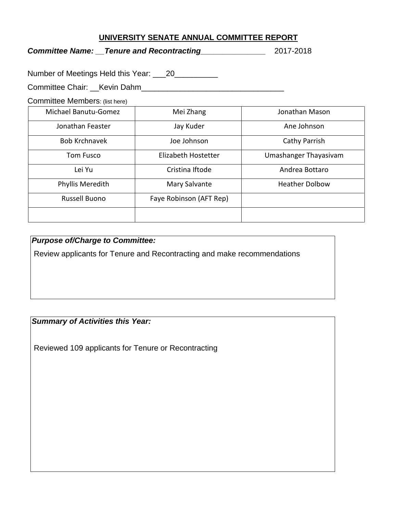### **UNIVERSITY SENATE ANNUAL COMMITTEE REPORT**

*Committee Name: \_\_Tenure and Recontracting\_\_\_\_\_\_\_\_\_\_\_\_\_\_\_* 2017-2018

Number of Meetings Held this Year: \_\_\_20\_\_\_\_\_\_\_\_\_\_

Committee Chair: \_\_Kevin Dahm\_\_\_\_\_\_\_\_\_\_\_\_\_\_\_\_\_\_\_\_\_\_\_\_\_\_\_\_\_\_\_\_\_

Committee Members: (list here)

| Michael Banutu-Gomez | Mei Zhang               | Jonathan Mason        |
|----------------------|-------------------------|-----------------------|
| Jonathan Feaster     | Jay Kuder               | Ane Johnson           |
| <b>Bob Krchnavek</b> | Joe Johnson             | Cathy Parrish         |
| <b>Tom Fusco</b>     | Elizabeth Hostetter     | Umashanger Thayasivam |
| Lei Yu               | Cristina Iftode         | Andrea Bottaro        |
| Phyllis Meredith     | Mary Salvante           | <b>Heather Dolbow</b> |
| <b>Russell Buono</b> | Faye Robinson (AFT Rep) |                       |
|                      |                         |                       |

# *Purpose of/Charge to Committee:*

Review applicants for Tenure and Recontracting and make recommendations

## *Summary of Activities this Year:*

Reviewed 109 applicants for Tenure or Recontracting